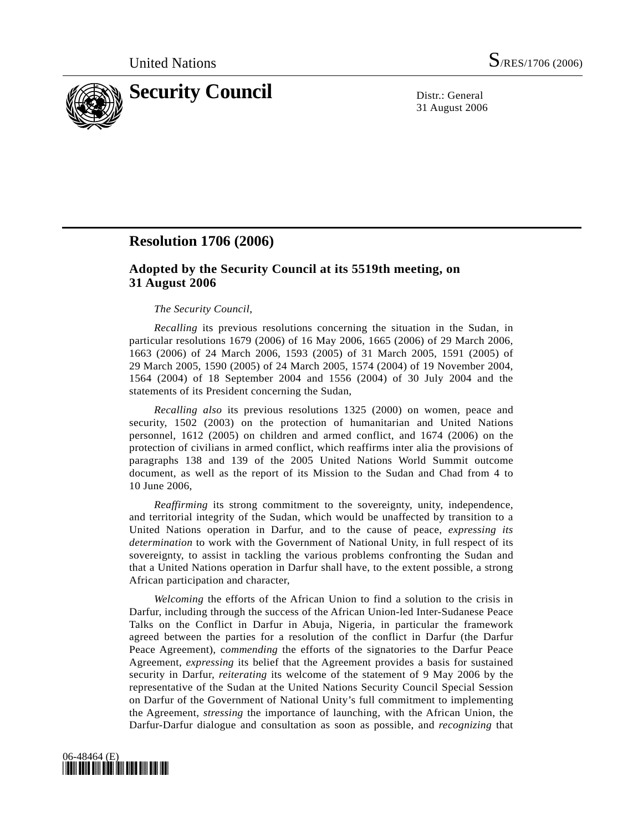

31 August 2006

## **Resolution 1706 (2006)**

## **Adopted by the Security Council at its 5519th meeting, on 31 August 2006**

## *The Security Council*,

*Recalling* its previous resolutions concerning the situation in the Sudan, in particular resolutions 1679 (2006) of 16 May 2006, 1665 (2006) of 29 March 2006, 1663 (2006) of 24 March 2006, 1593 (2005) of 31 March 2005, 1591 (2005) of 29 March 2005, 1590 (2005) of 24 March 2005, 1574 (2004) of 19 November 2004, 1564 (2004) of 18 September 2004 and 1556 (2004) of 30 July 2004 and the statements of its President concerning the Sudan,

*Recalling also* its previous resolutions 1325 (2000) on women, peace and security, 1502 (2003) on the protection of humanitarian and United Nations personnel, 1612 (2005) on children and armed conflict, and 1674 (2006) on the protection of civilians in armed conflict, which reaffirms inter alia the provisions of paragraphs 138 and 139 of the 2005 United Nations World Summit outcome document, as well as the report of its Mission to the Sudan and Chad from 4 to 10 June 2006,

*Reaffirming* its strong commitment to the sovereignty, unity, independence, and territorial integrity of the Sudan, which would be unaffected by transition to a United Nations operation in Darfur, and to the cause of peace, *expressing its determination* to work with the Government of National Unity, in full respect of its sovereignty, to assist in tackling the various problems confronting the Sudan and that a United Nations operation in Darfur shall have, to the extent possible, a strong African participation and character,

*Welcoming* the efforts of the African Union to find a solution to the crisis in Darfur, including through the success of the African Union-led Inter-Sudanese Peace Talks on the Conflict in Darfur in Abuja, Nigeria, in particular the framework agreed between the parties for a resolution of the conflict in Darfur (the Darfur Peace Agreement), c*ommending* the efforts of the signatories to the Darfur Peace Agreement, *expressing* its belief that the Agreement provides a basis for sustained security in Darfur, *reiterating* its welcome of the statement of 9 May 2006 by the representative of the Sudan at the United Nations Security Council Special Session on Darfur of the Government of National Unity's full commitment to implementing the Agreement, *stressing* the importance of launching, with the African Union, the Darfur-Darfur dialogue and consultation as soon as possible, and *recognizing* that

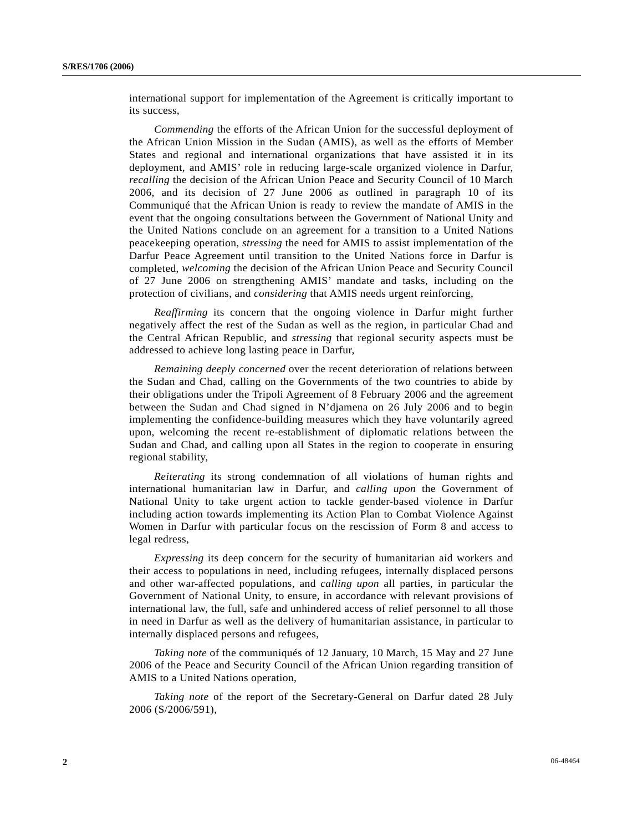international support for implementation of the Agreement is critically important to its success,

*Commending* the efforts of the African Union for the successful deployment of the African Union Mission in the Sudan (AMIS), as well as the efforts of Member States and regional and international organizations that have assisted it in its deployment, and AMIS' role in reducing large-scale organized violence in Darfur, *recalling* the decision of the African Union Peace and Security Council of 10 March 2006, and its decision of 27 June 2006 as outlined in paragraph 10 of its Communiqué that the African Union is ready to review the mandate of AMIS in the event that the ongoing consultations between the Government of National Unity and the United Nations conclude on an agreement for a transition to a United Nations peacekeeping operation, *stressing* the need for AMIS to assist implementation of the Darfur Peace Agreement until transition to the United Nations force in Darfur is completed, *welcoming* the decision of the African Union Peace and Security Council of 27 June 2006 on strengthening AMIS' mandate and tasks, including on the protection of civilians, and *considering* that AMIS needs urgent reinforcing,

*Reaffirming* its concern that the ongoing violence in Darfur might further negatively affect the rest of the Sudan as well as the region, in particular Chad and the Central African Republic, and *stressing* that regional security aspects must be addressed to achieve long lasting peace in Darfur,

*Remaining deeply concerned* over the recent deterioration of relations between the Sudan and Chad, calling on the Governments of the two countries to abide by their obligations under the Tripoli Agreement of 8 February 2006 and the agreement between the Sudan and Chad signed in N'djamena on 26 July 2006 and to begin implementing the confidence-building measures which they have voluntarily agreed upon, welcoming the recent re-establishment of diplomatic relations between the Sudan and Chad, and calling upon all States in the region to cooperate in ensuring regional stability,

*Reiterating* its strong condemnation of all violations of human rights and international humanitarian law in Darfur, and *calling upon* the Government of National Unity to take urgent action to tackle gender-based violence in Darfur including action towards implementing its Action Plan to Combat Violence Against Women in Darfur with particular focus on the rescission of Form 8 and access to legal redress,

*Expressing* its deep concern for the security of humanitarian aid workers and their access to populations in need, including refugees, internally displaced persons and other war-affected populations, and *calling upon* all parties, in particular the Government of National Unity, to ensure, in accordance with relevant provisions of international law, the full, safe and unhindered access of relief personnel to all those in need in Darfur as well as the delivery of humanitarian assistance, in particular to internally displaced persons and refugees,

*Taking note* of the communiqués of 12 January, 10 March, 15 May and 27 June 2006 of the Peace and Security Council of the African Union regarding transition of AMIS to a United Nations operation,

*Taking note* of the report of the Secretary-General on Darfur dated 28 July 2006 (S/2006/591),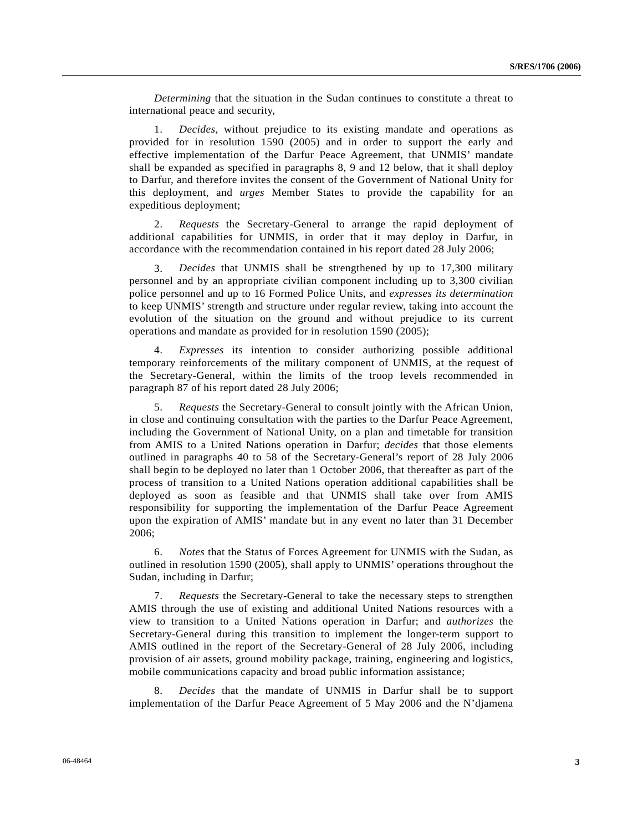*Determining* that the situation in the Sudan continues to constitute a threat to international peace and security,

 1. *Decides*, without prejudice to its existing mandate and operations as provided for in resolution 1590 (2005) and in order to support the early and effective implementation of the Darfur Peace Agreement, that UNMIS' mandate shall be expanded as specified in paragraphs 8, 9 and 12 below, that it shall deploy to Darfur, and therefore invites the consent of the Government of National Unity for this deployment, and *urges* Member States to provide the capability for an expeditious deployment;

 2. *Requests* the Secretary-General to arrange the rapid deployment of additional capabilities for UNMIS, in order that it may deploy in Darfur, in accordance with the recommendation contained in his report dated 28 July 2006;

 3. *Decides* that UNMIS shall be strengthened by up to 17,300 military personnel and by an appropriate civilian component including up to 3,300 civilian police personnel and up to 16 Formed Police Units, and *expresses its determination* to keep UNMIS' strength and structure under regular review, taking into account the evolution of the situation on the ground and without prejudice to its current operations and mandate as provided for in resolution 1590 (2005);

 4. *Expresses* its intention to consider authorizing possible additional temporary reinforcements of the military component of UNMIS, at the request of the Secretary-General, within the limits of the troop levels recommended in paragraph 87 of his report dated 28 July 2006;

 5. *Requests* the Secretary-General to consult jointly with the African Union, in close and continuing consultation with the parties to the Darfur Peace Agreement, including the Government of National Unity, on a plan and timetable for transition from AMIS to a United Nations operation in Darfur; *decides* that those elements outlined in paragraphs 40 to 58 of the Secretary-General's report of 28 July 2006 shall begin to be deployed no later than 1 October 2006, that thereafter as part of the process of transition to a United Nations operation additional capabilities shall be deployed as soon as feasible and that UNMIS shall take over from AMIS responsibility for supporting the implementation of the Darfur Peace Agreement upon the expiration of AMIS' mandate but in any event no later than 31 December 2006;

 6. *Notes* that the Status of Forces Agreement for UNMIS with the Sudan, as outlined in resolution 1590 (2005), shall apply to UNMIS' operations throughout the Sudan, including in Darfur;

 7. *Requests* the Secretary-General to take the necessary steps to strengthen AMIS through the use of existing and additional United Nations resources with a view to transition to a United Nations operation in Darfur; and *authorizes* the Secretary-General during this transition to implement the longer-term support to AMIS outlined in the report of the Secretary-General of 28 July 2006, including provision of air assets, ground mobility package, training, engineering and logistics, mobile communications capacity and broad public information assistance;

 8. *Decides* that the mandate of UNMIS in Darfur shall be to support implementation of the Darfur Peace Agreement of 5 May 2006 and the N'djamena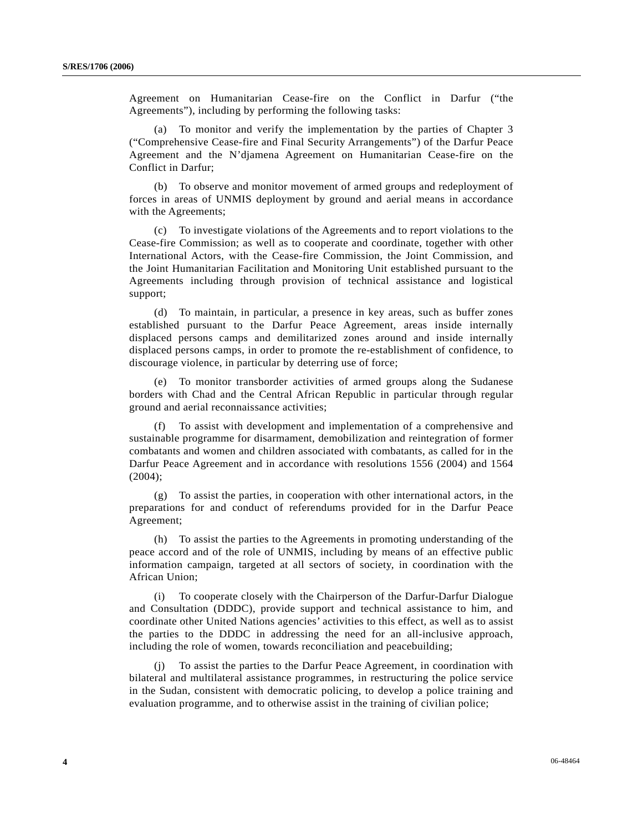Agreement on Humanitarian Cease-fire on the Conflict in Darfur ("the Agreements"), including by performing the following tasks:

 (a) To monitor and verify the implementation by the parties of Chapter 3 ("Comprehensive Cease-fire and Final Security Arrangements") of the Darfur Peace Agreement and the N'djamena Agreement on Humanitarian Cease-fire on the Conflict in Darfur;

 (b) To observe and monitor movement of armed groups and redeployment of forces in areas of UNMIS deployment by ground and aerial means in accordance with the Agreements;

 (c) To investigate violations of the Agreements and to report violations to the Cease-fire Commission; as well as to cooperate and coordinate, together with other International Actors, with the Cease-fire Commission, the Joint Commission, and the Joint Humanitarian Facilitation and Monitoring Unit established pursuant to the Agreements including through provision of technical assistance and logistical support;

 (d) To maintain, in particular, a presence in key areas, such as buffer zones established pursuant to the Darfur Peace Agreement, areas inside internally displaced persons camps and demilitarized zones around and inside internally displaced persons camps, in order to promote the re-establishment of confidence, to discourage violence, in particular by deterring use of force;

 (e) To monitor transborder activities of armed groups along the Sudanese borders with Chad and the Central African Republic in particular through regular ground and aerial reconnaissance activities;

 (f) To assist with development and implementation of a comprehensive and sustainable programme for disarmament, demobilization and reintegration of former combatants and women and children associated with combatants, as called for in the Darfur Peace Agreement and in accordance with resolutions 1556 (2004) and 1564 (2004);

To assist the parties, in cooperation with other international actors, in the preparations for and conduct of referendums provided for in the Darfur Peace Agreement;

 (h) To assist the parties to the Agreements in promoting understanding of the peace accord and of the role of UNMIS, including by means of an effective public information campaign, targeted at all sectors of society, in coordination with the African Union;

 (i) To cooperate closely with the Chairperson of the Darfur-Darfur Dialogue and Consultation (DDDC), provide support and technical assistance to him, and coordinate other United Nations agencies' activities to this effect, as well as to assist the parties to the DDDC in addressing the need for an all-inclusive approach, including the role of women, towards reconciliation and peacebuilding;

 (j) To assist the parties to the Darfur Peace Agreement, in coordination with bilateral and multilateral assistance programmes, in restructuring the police service in the Sudan, consistent with democratic policing, to develop a police training and evaluation programme, and to otherwise assist in the training of civilian police;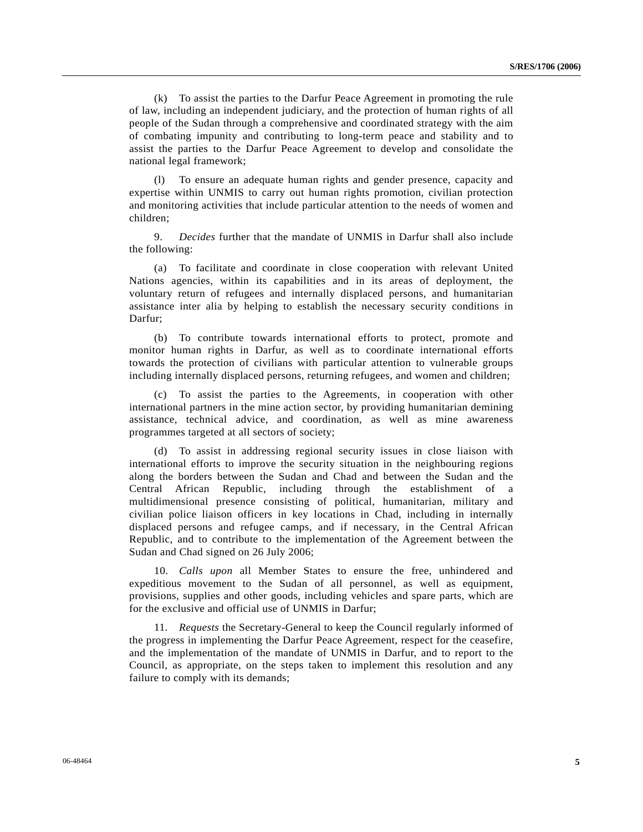(k) To assist the parties to the Darfur Peace Agreement in promoting the rule of law, including an independent judiciary, and the protection of human rights of all people of the Sudan through a comprehensive and coordinated strategy with the aim of combating impunity and contributing to long-term peace and stability and to assist the parties to the Darfur Peace Agreement to develop and consolidate the national legal framework;

 (l) To ensure an adequate human rights and gender presence, capacity and expertise within UNMIS to carry out human rights promotion, civilian protection and monitoring activities that include particular attention to the needs of women and children;

 9. *Decides* further that the mandate of UNMIS in Darfur shall also include the following:

 (a) To facilitate and coordinate in close cooperation with relevant United Nations agencies, within its capabilities and in its areas of deployment, the voluntary return of refugees and internally displaced persons, and humanitarian assistance inter alia by helping to establish the necessary security conditions in Darfur;

 (b) To contribute towards international efforts to protect, promote and monitor human rights in Darfur, as well as to coordinate international efforts towards the protection of civilians with particular attention to vulnerable groups including internally displaced persons, returning refugees, and women and children;

 (c) To assist the parties to the Agreements, in cooperation with other international partners in the mine action sector, by providing humanitarian demining assistance, technical advice, and coordination, as well as mine awareness programmes targeted at all sectors of society;

 (d) To assist in addressing regional security issues in close liaison with international efforts to improve the security situation in the neighbouring regions along the borders between the Sudan and Chad and between the Sudan and the Central African Republic, including through the establishment of a multidimensional presence consisting of political, humanitarian, military and civilian police liaison officers in key locations in Chad, including in internally displaced persons and refugee camps, and if necessary, in the Central African Republic, and to contribute to the implementation of the Agreement between the Sudan and Chad signed on 26 July 2006;

 10. *Calls upon* all Member States to ensure the free, unhindered and expeditious movement to the Sudan of all personnel, as well as equipment, provisions, supplies and other goods, including vehicles and spare parts, which are for the exclusive and official use of UNMIS in Darfur;

 11. *Requests* the Secretary-General to keep the Council regularly informed of the progress in implementing the Darfur Peace Agreement, respect for the ceasefire, and the implementation of the mandate of UNMIS in Darfur, and to report to the Council, as appropriate, on the steps taken to implement this resolution and any failure to comply with its demands;